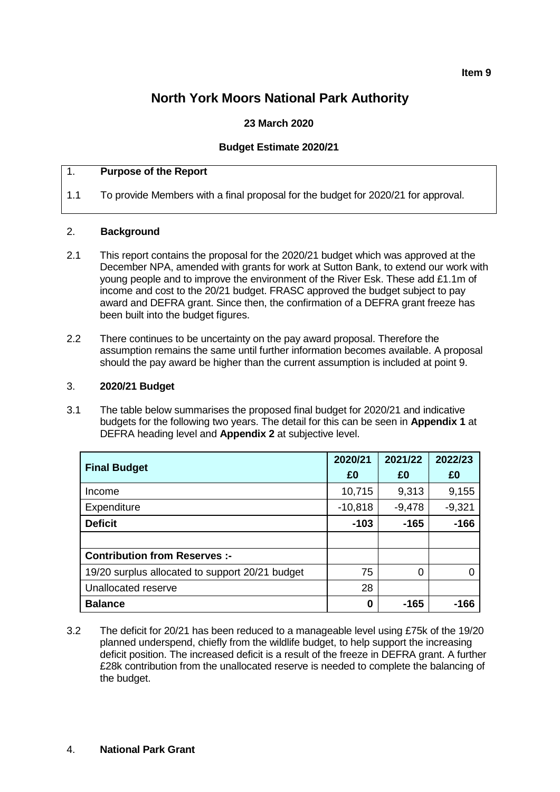# **North York Moors National Park Authority**

### **23 March 2020**

#### **Budget Estimate 2020/21**

### 1. **Purpose of the Report**

1.1 To provide Members with a final proposal for the budget for 2020/21 for approval.

#### 2. **Background**

- 2.1 This report contains the proposal for the 2020/21 budget which was approved at the December NPA, amended with grants for work at Sutton Bank, to extend our work with young people and to improve the environment of the River Esk. These add £1.1m of income and cost to the 20/21 budget. FRASC approved the budget subject to pay award and DEFRA grant. Since then, the confirmation of a DEFRA grant freeze has been built into the budget figures.
- 2.2 There continues to be uncertainty on the pay award proposal. Therefore the assumption remains the same until further information becomes available. A proposal should the pay award be higher than the current assumption is included at point 9.

#### 3. **2020/21 Budget**

3.1 The table below summarises the proposed final budget for 2020/21 and indicative budgets for the following two years. The detail for this can be seen in **Appendix 1** at DEFRA heading level and **Appendix 2** at subjective level.

|                                                 | 2020/21   | 2021/22  | 2022/23  |
|-------------------------------------------------|-----------|----------|----------|
| <b>Final Budget</b>                             | £0        | £0       | £0       |
| Income                                          | 10,715    | 9,313    | 9,155    |
| Expenditure                                     | $-10,818$ | $-9,478$ | $-9,321$ |
| <b>Deficit</b>                                  | $-103$    | $-165$   | $-166$   |
|                                                 |           |          |          |
| <b>Contribution from Reserves :-</b>            |           |          |          |
| 19/20 surplus allocated to support 20/21 budget | 75        | 0        | ∩        |
| Unallocated reserve                             | 28        |          |          |
| <b>Balance</b>                                  | 0         | $-165$   | -166     |

3.2 The deficit for 20/21 has been reduced to a manageable level using £75k of the 19/20 planned underspend, chiefly from the wildlife budget, to help support the increasing deficit position. The increased deficit is a result of the freeze in DEFRA grant. A further £28k contribution from the unallocated reserve is needed to complete the balancing of the budget.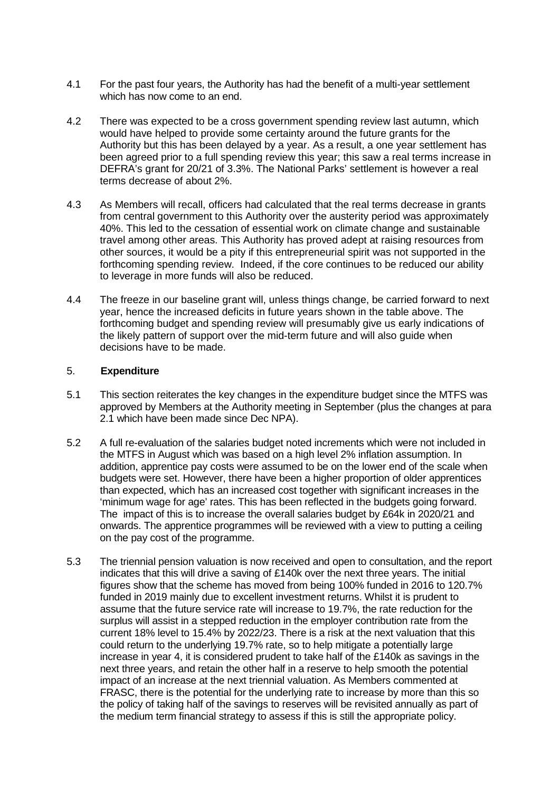- 4.1 For the past four years, the Authority has had the benefit of a multi-year settlement which has now come to an end.
- 4.2 There was expected to be a cross government spending review last autumn, which would have helped to provide some certainty around the future grants for the Authority but this has been delayed by a year. As a result, a one year settlement has been agreed prior to a full spending review this year; this saw a real terms increase in DEFRA's grant for 20/21 of 3.3%. The National Parks' settlement is however a real terms decrease of about 2%.
- 4.3 As Members will recall, officers had calculated that the real terms decrease in grants from central government to this Authority over the austerity period was approximately 40%. This led to the cessation of essential work on climate change and sustainable travel among other areas. This Authority has proved adept at raising resources from other sources, it would be a pity if this entrepreneurial spirit was not supported in the forthcoming spending review. Indeed, if the core continues to be reduced our ability to leverage in more funds will also be reduced.
- 4.4 The freeze in our baseline grant will, unless things change, be carried forward to next year, hence the increased deficits in future years shown in the table above. The forthcoming budget and spending review will presumably give us early indications of the likely pattern of support over the mid-term future and will also guide when decisions have to be made.

#### 5. **Expenditure**

- 5.1 This section reiterates the key changes in the expenditure budget since the MTFS was approved by Members at the Authority meeting in September (plus the changes at para 2.1 which have been made since Dec NPA).
- 5.2 A full re-evaluation of the salaries budget noted increments which were not included in the MTFS in August which was based on a high level 2% inflation assumption. In addition, apprentice pay costs were assumed to be on the lower end of the scale when budgets were set. However, there have been a higher proportion of older apprentices than expected, which has an increased cost together with significant increases in the 'minimum wage for age' rates. This has been reflected in the budgets going forward. The impact of this is to increase the overall salaries budget by £64k in 2020/21 and onwards. The apprentice programmes will be reviewed with a view to putting a ceiling on the pay cost of the programme.
- 5.3 The triennial pension valuation is now received and open to consultation, and the report indicates that this will drive a saving of £140k over the next three years. The initial figures show that the scheme has moved from being 100% funded in 2016 to 120.7% funded in 2019 mainly due to excellent investment returns. Whilst it is prudent to assume that the future service rate will increase to 19.7%, the rate reduction for the surplus will assist in a stepped reduction in the employer contribution rate from the current 18% level to 15.4% by 2022/23. There is a risk at the next valuation that this could return to the underlying 19.7% rate, so to help mitigate a potentially large increase in year 4, it is considered prudent to take half of the £140k as savings in the next three years, and retain the other half in a reserve to help smooth the potential impact of an increase at the next triennial valuation. As Members commented at FRASC, there is the potential for the underlying rate to increase by more than this so the policy of taking half of the savings to reserves will be revisited annually as part of the medium term financial strategy to assess if this is still the appropriate policy.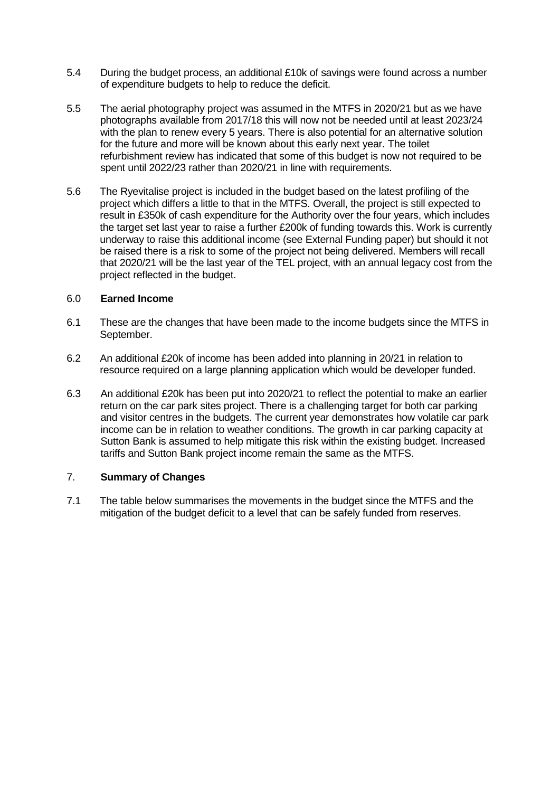- 5.4 During the budget process, an additional £10k of savings were found across a number of expenditure budgets to help to reduce the deficit.
- 5.5 The aerial photography project was assumed in the MTFS in 2020/21 but as we have photographs available from 2017/18 this will now not be needed until at least 2023/24 with the plan to renew every 5 years. There is also potential for an alternative solution for the future and more will be known about this early next year. The toilet refurbishment review has indicated that some of this budget is now not required to be spent until 2022/23 rather than 2020/21 in line with requirements.
- 5.6 The Ryevitalise project is included in the budget based on the latest profiling of the project which differs a little to that in the MTFS. Overall, the project is still expected to result in £350k of cash expenditure for the Authority over the four years, which includes the target set last year to raise a further £200k of funding towards this. Work is currently underway to raise this additional income (see External Funding paper) but should it not be raised there is a risk to some of the project not being delivered. Members will recall that 2020/21 will be the last year of the TEL project, with an annual legacy cost from the project reflected in the budget.

#### 6.0 **Earned Income**

- 6.1 These are the changes that have been made to the income budgets since the MTFS in September.
- 6.2 An additional £20k of income has been added into planning in 20/21 in relation to resource required on a large planning application which would be developer funded.
- 6.3 An additional £20k has been put into 2020/21 to reflect the potential to make an earlier return on the car park sites project. There is a challenging target for both car parking and visitor centres in the budgets. The current year demonstrates how volatile car park income can be in relation to weather conditions. The growth in car parking capacity at Sutton Bank is assumed to help mitigate this risk within the existing budget. Increased tariffs and Sutton Bank project income remain the same as the MTFS.

#### 7. **Summary of Changes**

7.1 The table below summarises the movements in the budget since the MTFS and the mitigation of the budget deficit to a level that can be safely funded from reserves.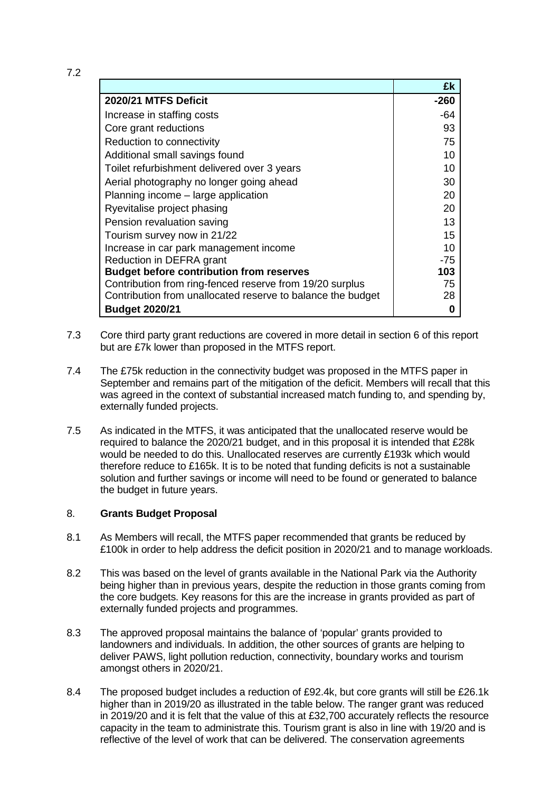|                                                             | £k    |
|-------------------------------------------------------------|-------|
| 2020/21 MTFS Deficit                                        | -260  |
| Increase in staffing costs                                  | -64   |
| Core grant reductions                                       | 93    |
| Reduction to connectivity                                   | 75    |
| Additional small savings found                              | 10    |
| Toilet refurbishment delivered over 3 years                 | 10    |
| Aerial photography no longer going ahead                    | 30    |
| Planning income - large application                         | 20    |
| Ryevitalise project phasing                                 | 20    |
| Pension revaluation saving                                  | 13    |
| Tourism survey now in 21/22                                 | 15    |
| Increase in car park management income                      | 10    |
| Reduction in DEFRA grant                                    | $-75$ |
| <b>Budget before contribution from reserves</b>             | 103   |
| Contribution from ring-fenced reserve from 19/20 surplus    | 75    |
| Contribution from unallocated reserve to balance the budget | 28    |
| <b>Budget 2020/21</b>                                       | 0     |

- 7.3 Core third party grant reductions are covered in more detail in section 6 of this report but are £7k lower than proposed in the MTFS report.
- 7.4 The £75k reduction in the connectivity budget was proposed in the MTFS paper in September and remains part of the mitigation of the deficit. Members will recall that this was agreed in the context of substantial increased match funding to, and spending by, externally funded projects.
- 7.5 As indicated in the MTFS, it was anticipated that the unallocated reserve would be required to balance the 2020/21 budget, and in this proposal it is intended that £28k would be needed to do this. Unallocated reserves are currently £193k which would therefore reduce to £165k. It is to be noted that funding deficits is not a sustainable solution and further savings or income will need to be found or generated to balance the budget in future years.

#### 8. **Grants Budget Proposal**

- 8.1 As Members will recall, the MTFS paper recommended that grants be reduced by £100k in order to help address the deficit position in 2020/21 and to manage workloads.
- 8.2 This was based on the level of grants available in the National Park via the Authority being higher than in previous years, despite the reduction in those grants coming from the core budgets. Key reasons for this are the increase in grants provided as part of externally funded projects and programmes.
- 8.3 The approved proposal maintains the balance of 'popular' grants provided to landowners and individuals. In addition, the other sources of grants are helping to deliver PAWS, light pollution reduction, connectivity, boundary works and tourism amongst others in 2020/21.
- 8.4 The proposed budget includes a reduction of £92.4k, but core grants will still be £26.1k higher than in 2019/20 as illustrated in the table below. The ranger grant was reduced in 2019/20 and it is felt that the value of this at £32,700 accurately reflects the resource capacity in the team to administrate this. Tourism grant is also in line with 19/20 and is reflective of the level of work that can be delivered. The conservation agreements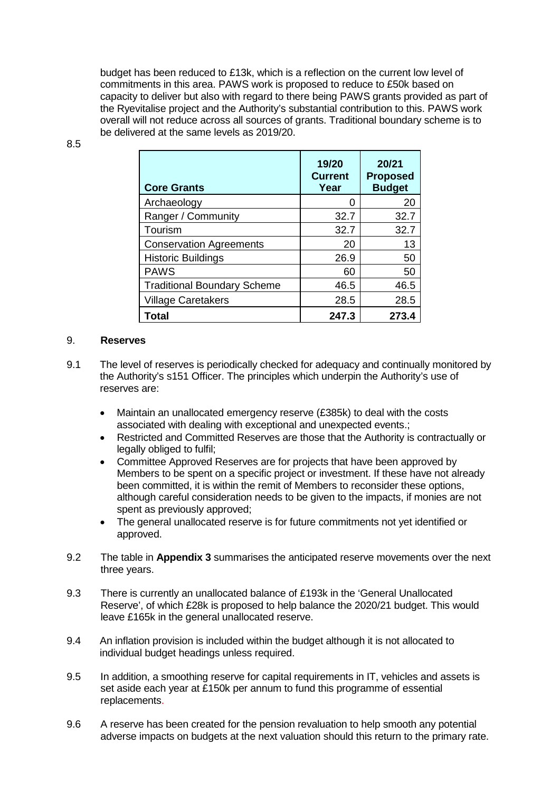budget has been reduced to £13k, which is a reflection on the current low level of commitments in this area. PAWS work is proposed to reduce to £50k based on capacity to deliver but also with regard to there being PAWS grants provided as part of the Ryevitalise project and the Authority's substantial contribution to this. PAWS work overall will not reduce across all sources of grants. Traditional boundary scheme is to be delivered at the same levels as 2019/20.

| ۰,<br>I<br>۰.<br>I<br>×<br>×<br>۰,<br>۰. |
|------------------------------------------|
|------------------------------------------|

| <b>Core Grants</b>                 | 19/20<br><b>Current</b><br>Year | 20/21<br><b>Proposed</b><br><b>Budget</b> |
|------------------------------------|---------------------------------|-------------------------------------------|
| Archaeology                        | 0                               | 20                                        |
| Ranger / Community                 | 32.7                            | 32.7                                      |
| Tourism                            | 32.7                            | 32.7                                      |
| <b>Conservation Agreements</b>     | 20                              | 13                                        |
| <b>Historic Buildings</b>          | 26.9                            | 50                                        |
| <b>PAWS</b>                        | 60                              | 50                                        |
| <b>Traditional Boundary Scheme</b> | 46.5                            | 46.5                                      |
| <b>Village Caretakers</b>          | 28.5                            | 28.5                                      |
| Total                              | 247.3                           | 273.4                                     |

#### 9. **Reserves**

- 9.1 The level of reserves is periodically checked for adequacy and continually monitored by the Authority's s151 Officer. The principles which underpin the Authority's use of reserves are:
	- Maintain an unallocated emergency reserve (£385k) to deal with the costs associated with dealing with exceptional and unexpected events.;
	- Restricted and Committed Reserves are those that the Authority is contractually or legally obliged to fulfil;
	- Committee Approved Reserves are for projects that have been approved by Members to be spent on a specific project or investment. If these have not already been committed, it is within the remit of Members to reconsider these options, although careful consideration needs to be given to the impacts, if monies are not spent as previously approved;
	- The general unallocated reserve is for future commitments not yet identified or approved.
- 9.2 The table in **Appendix 3** summarises the anticipated reserve movements over the next three years.
- 9.3 There is currently an unallocated balance of £193k in the 'General Unallocated Reserve', of which £28k is proposed to help balance the 2020/21 budget. This would leave £165k in the general unallocated reserve.
- 9.4 An inflation provision is included within the budget although it is not allocated to individual budget headings unless required.
- 9.5 In addition, a smoothing reserve for capital requirements in IT, vehicles and assets is set aside each year at £150k per annum to fund this programme of essential replacements.
- 9.6 A reserve has been created for the pension revaluation to help smooth any potential adverse impacts on budgets at the next valuation should this return to the primary rate.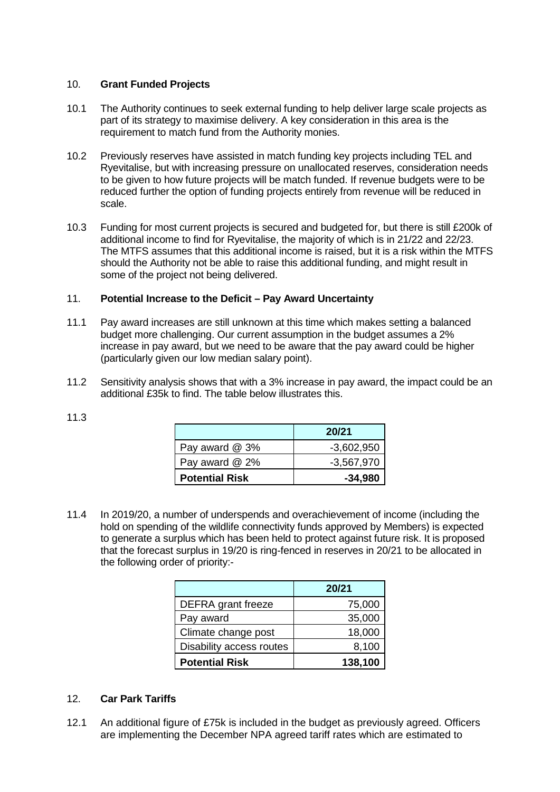#### 10. **Grant Funded Projects**

- 10.1 The Authority continues to seek external funding to help deliver large scale projects as part of its strategy to maximise delivery. A key consideration in this area is the requirement to match fund from the Authority monies.
- 10.2 Previously reserves have assisted in match funding key projects including TEL and Ryevitalise, but with increasing pressure on unallocated reserves, consideration needs to be given to how future projects will be match funded. If revenue budgets were to be reduced further the option of funding projects entirely from revenue will be reduced in scale.
- 10.3 Funding for most current projects is secured and budgeted for, but there is still £200k of additional income to find for Ryevitalise, the majority of which is in 21/22 and 22/23. The MTFS assumes that this additional income is raised, but it is a risk within the MTFS should the Authority not be able to raise this additional funding, and might result in some of the project not being delivered.

### 11. **Potential Increase to the Deficit – Pay Award Uncertainty**

- 11.1 Pay award increases are still unknown at this time which makes setting a balanced budget more challenging. Our current assumption in the budget assumes a 2% increase in pay award, but we need to be aware that the pay award could be higher (particularly given our low median salary point).
- 11.2 Sensitivity analysis shows that with a 3% increase in pay award, the impact could be an additional £35k to find. The table below illustrates this.

|                       | 20/21        |
|-----------------------|--------------|
| Pay award @ 3%        | $-3,602,950$ |
| Pay award $@2\%$      | $-3,567,970$ |
| <b>Potential Risk</b> | $-34,980$    |

11.4 In 2019/20, a number of underspends and overachievement of income (including the hold on spending of the wildlife connectivity funds approved by Members) is expected to generate a surplus which has been held to protect against future risk. It is proposed that the forecast surplus in 19/20 is ring-fenced in reserves in 20/21 to be allocated in the following order of priority:-

|                          | 20/21   |
|--------------------------|---------|
| DEFRA grant freeze       | 75,000  |
| Pay award                | 35,000  |
| Climate change post      | 18,000  |
| Disability access routes | 8,100   |
| <b>Potential Risk</b>    | 138,100 |

## 12. **Car Park Tariffs**

12.1 An additional figure of £75k is included in the budget as previously agreed. Officers are implementing the December NPA agreed tariff rates which are estimated to

11.3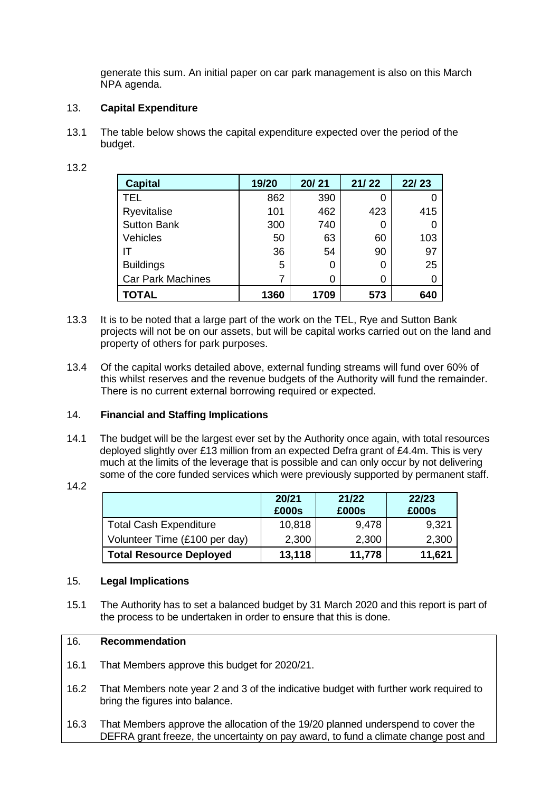generate this sum. An initial paper on car park management is also on this March NPA agenda.

#### 13. **Capital Expenditure**

13.1 The table below shows the capital expenditure expected over the period of the budget.

| <b>Capital</b>           | 19/20 | 20/21 | 21/22 | 22/23 |
|--------------------------|-------|-------|-------|-------|
| <b>TEL</b>               | 862   | 390   |       |       |
| Ryevitalise              | 101   | 462   | 423   | 415   |
| <b>Sutton Bank</b>       | 300   | 740   |       |       |
| Vehicles                 | 50    | 63    | 60    | 103   |
| IΤ                       | 36    | 54    | 90    | 97    |
| <b>Buildings</b>         | 5     | 0     |       | 25    |
| <b>Car Park Machines</b> |       | ი     |       |       |
| <b>TOTAL</b>             | 1360  | 1709  | 573   | 640   |

- 13.3 It is to be noted that a large part of the work on the TEL, Rye and Sutton Bank projects will not be on our assets, but will be capital works carried out on the land and
- 13.4 Of the capital works detailed above, external funding streams will fund over 60% of this whilst reserves and the revenue budgets of the Authority will fund the remainder. There is no current external borrowing required or expected.

## 14. **Financial and Staffing Implications**

property of others for park purposes.

- 14.1 The budget will be the largest ever set by the Authority once again, with total resources deployed slightly over £13 million from an expected Defra grant of £4.4m. This is very much at the limits of the leverage that is possible and can only occur by not delivering some of the core funded services which were previously supported by permanent staff.
- 14.2

|                                | 20/21<br>£000s | 21/22<br>£000s | 22/23<br>£000s |
|--------------------------------|----------------|----------------|----------------|
| <b>Total Cash Expenditure</b>  | 10,818         | 9,478          | 9,321          |
| Volunteer Time (£100 per day)  | 2,300          | 2,300          | 2,300          |
| <b>Total Resource Deployed</b> | 13,118         | 11,778         | 11,621         |

#### 15. **Legal Implications**

15.1 The Authority has to set a balanced budget by 31 March 2020 and this report is part of the process to be undertaken in order to ensure that this is done.

#### 16. **Recommendation**

- 16.1 That Members approve this budget for 2020/21.
- 16.2 That Members note year 2 and 3 of the indicative budget with further work required to bring the figures into balance.
- 16.3 That Members approve the allocation of the 19/20 planned underspend to cover the DEFRA grant freeze, the uncertainty on pay award, to fund a climate change post and

| I<br>۰. |  |
|---------|--|
|         |  |
|         |  |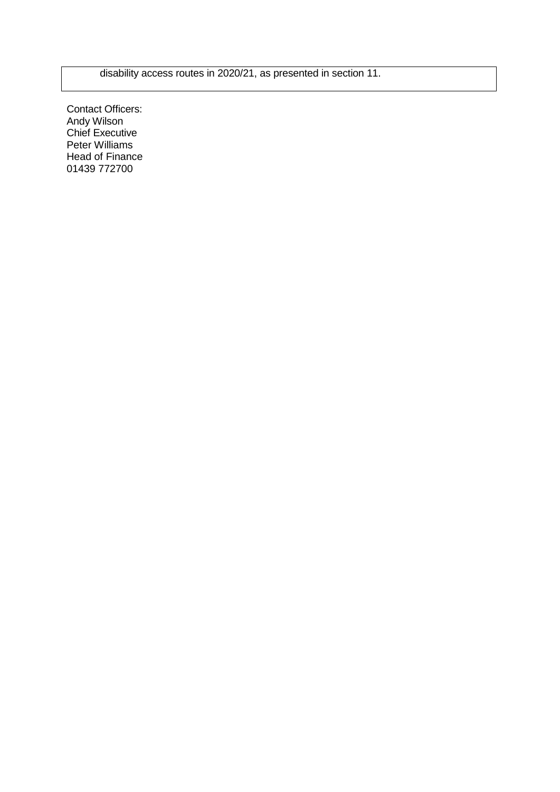disability access routes in 2020/21, as presented in section 11.

Contact Officers: Andy Wilson Chief Executive Peter Williams Head of Finance 01439 772700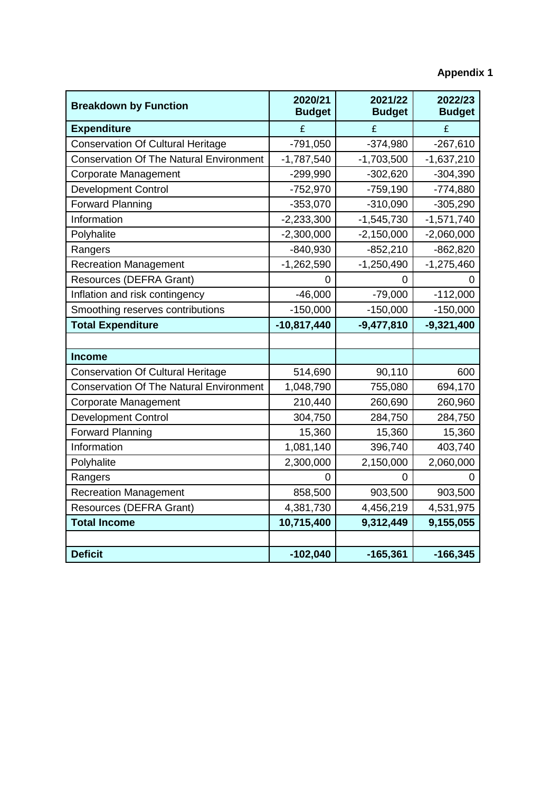| <b>Breakdown by Function</b>                   | 2020/21<br><b>Budget</b> | 2021/22<br><b>Budget</b> | 2022/23<br><b>Budget</b> |  |
|------------------------------------------------|--------------------------|--------------------------|--------------------------|--|
| <b>Expenditure</b>                             | £                        | £                        | £                        |  |
| <b>Conservation Of Cultural Heritage</b>       | $-791,050$               | $-374,980$               | $-267,610$               |  |
| <b>Conservation Of The Natural Environment</b> | $-1,787,540$             | $-1,703,500$             | $-1,637,210$             |  |
| Corporate Management                           | $-299,990$               | $-302,620$               | $-304,390$               |  |
| <b>Development Control</b>                     | $-752,970$               | $-759,190$               | $-774,880$               |  |
| <b>Forward Planning</b>                        | $-353,070$               | $-310,090$               | $-305,290$               |  |
| Information                                    | $-2,233,300$             | $-1,545,730$             | $-1,571,740$             |  |
| Polyhalite                                     | $-2,300,000$             | $-2,150,000$             | $-2,060,000$             |  |
| Rangers                                        | $-840,930$               | $-852,210$               | $-862,820$               |  |
| <b>Recreation Management</b>                   | $-1,262,590$             | $-1,250,490$             | $-1,275,460$             |  |
| <b>Resources (DEFRA Grant)</b>                 | 0                        | 0                        | 0                        |  |
| Inflation and risk contingency                 | $-46,000$                | $-79,000$                | $-112,000$               |  |
| Smoothing reserves contributions               | $-150,000$               | $-150,000$               | $-150,000$               |  |
| <b>Total Expenditure</b>                       | $-10,817,440$            | $-9,477,810$             | $-9,321,400$             |  |
|                                                |                          |                          |                          |  |
| <b>Income</b>                                  |                          |                          |                          |  |
| <b>Conservation Of Cultural Heritage</b>       | 514,690                  | 90,110                   | 600                      |  |
| <b>Conservation Of The Natural Environment</b> | 1,048,790                | 755,080                  | 694,170                  |  |
| <b>Corporate Management</b>                    | 210,440                  | 260,690                  | 260,960                  |  |
| <b>Development Control</b>                     | 304,750                  | 284,750                  | 284,750                  |  |
| <b>Forward Planning</b>                        | 15,360                   | 15,360                   | 15,360                   |  |
| Information                                    | 1,081,140                | 396,740                  | 403,740                  |  |
| Polyhalite                                     | 2,300,000                | 2,150,000                | 2,060,000                |  |
| Rangers                                        | 0                        | 0                        |                          |  |
| <b>Recreation Management</b>                   | 858,500                  | 903,500                  | 903,500                  |  |
| Resources (DEFRA Grant)                        | 4,381,730                | 4,456,219                | 4,531,975                |  |
| <b>Total Income</b>                            | 10,715,400               | 9,312,449                | 9,155,055                |  |
|                                                |                          |                          |                          |  |
| <b>Deficit</b>                                 | $-102,040$               | $-165,361$               | $-166,345$               |  |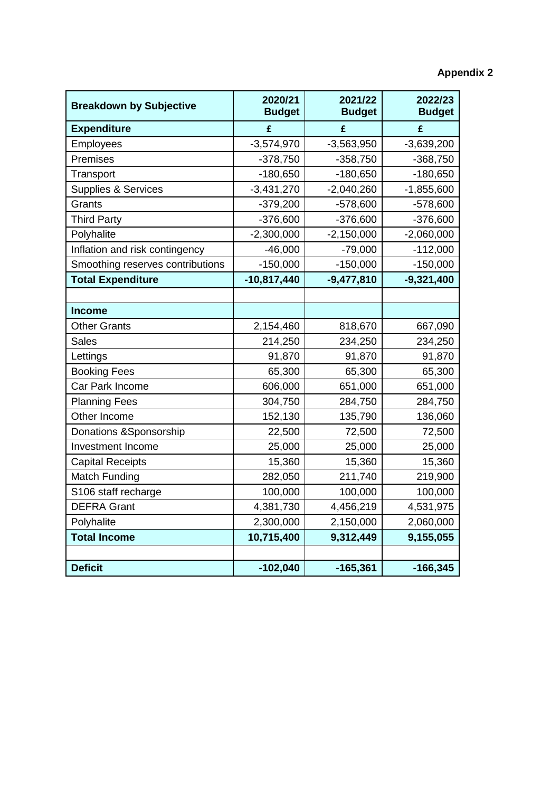# **Appendix 2**

| <b>Breakdown by Subjective</b>   | 2020/21<br><b>Budget</b> | 2021/22<br><b>Budget</b> | 2022/23<br><b>Budget</b> |
|----------------------------------|--------------------------|--------------------------|--------------------------|
| <b>Expenditure</b>               | £                        | £                        | £                        |
| Employees                        | $-3,574,970$             | $-3,563,950$             | $-3,639,200$             |
| Premises                         | $-378,750$               | $-358,750$               | $-368,750$               |
| Transport                        | $-180,650$               | $-180,650$               | $-180,650$               |
| Supplies & Services              | $-3,431,270$             | $-2,040,260$             | $-1,855,600$             |
| Grants                           | $-379,200$               | $-578,600$               | $-578,600$               |
| <b>Third Party</b>               | $-376,600$               | $-376,600$               | $-376,600$               |
| Polyhalite                       | $-2,300,000$             | $-2,150,000$             | $-2,060,000$             |
| Inflation and risk contingency   | $-46,000$                | $-79,000$                | $-112,000$               |
| Smoothing reserves contributions | $-150,000$               | $-150,000$               | $-150,000$               |
| <b>Total Expenditure</b>         | $-10,817,440$            | $-9,477,810$             | $-9,321,400$             |
|                                  |                          |                          |                          |
| <b>Income</b>                    |                          |                          |                          |
| <b>Other Grants</b>              | 2,154,460                | 818,670                  | 667,090                  |
| <b>Sales</b>                     | 214,250                  | 234,250                  | 234,250                  |
| Lettings                         | 91,870                   | 91,870                   | 91,870                   |
| <b>Booking Fees</b>              | 65,300                   | 65,300                   | 65,300                   |
| Car Park Income                  | 606,000                  | 651,000                  | 651,000                  |
| <b>Planning Fees</b>             | 304,750                  | 284,750                  | 284,750                  |
| Other Income                     | 152,130                  | 135,790                  | 136,060                  |
| Donations & Sponsorship          | 22,500                   | 72,500                   | 72,500                   |
| Investment Income                | 25,000                   | 25,000                   | 25,000                   |
| <b>Capital Receipts</b>          | 15,360                   | 15,360                   | 15,360                   |
| Match Funding                    | 282,050                  | 211,740                  | 219,900                  |
| S106 staff recharge              | 100,000                  | 100,000                  | 100,000                  |
| <b>DEFRA Grant</b>               | 4,381,730                | 4,456,219                | 4,531,975                |
| Polyhalite                       | 2,300,000                | 2,150,000                | 2,060,000                |
| <b>Total Income</b>              | 10,715,400               | 9,312,449                | 9,155,055                |
|                                  |                          |                          |                          |
| <b>Deficit</b>                   | $-102,040$               | $-165,361$               | $-166,345$               |